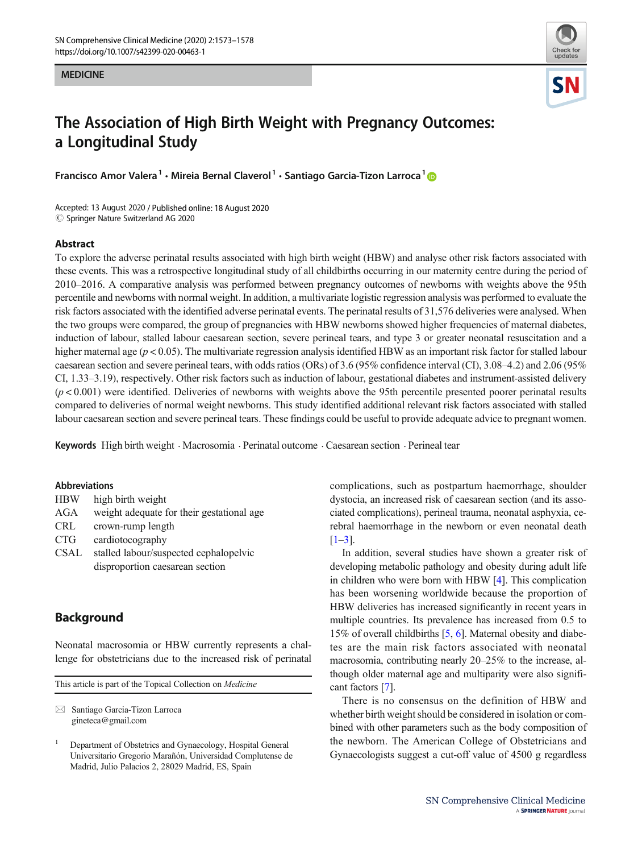#### **MEDICINE** MEDICINE



# The Association of High Birth Weight with Pregnancy Outcomes: a Longitudinal Study

Francisco Amor Valera<sup>1</sup> • Mireia Bernal Claverol<sup>1</sup> • Santiago Garcia-Tizon Larroca<sup>1</sup> D

Accepted: 13 August 2020 / Published online: 18 August 2020  $\circledcirc$  Springer Nature Switzerland AG 2020

#### Abstract

To explore the adverse perinatal results associated with high birth weight (HBW) and analyse other risk factors associated with these events. This was a retrospective longitudinal study of all childbirths occurring in our maternity centre during the period of 2010–2016. A comparative analysis was performed between pregnancy outcomes of newborns with weights above the 95th percentile and newborns with normal weight. In addition, a multivariate logistic regression analysis was performed to evaluate the risk factors associated with the identified adverse perinatal events. The perinatal results of 31,576 deliveries were analysed. When the two groups were compared, the group of pregnancies with HBW newborns showed higher frequencies of maternal diabetes, induction of labour, stalled labour caesarean section, severe perineal tears, and type 3 or greater neonatal resuscitation and a higher maternal age ( $p < 0.05$ ). The multivariate regression analysis identified HBW as an important risk factor for stalled labour caesarean section and severe perineal tears, with odds ratios (ORs) of 3.6 (95% confidence interval (CI), 3.08–4.2) and 2.06 (95% CI, 1.33–3.19), respectively. Other risk factors such as induction of labour, gestational diabetes and instrument-assisted delivery  $(p<0.001)$  were identified. Deliveries of newborns with weights above the 95th percentile presented poorer perinatal results compared to deliveries of normal weight newborns. This study identified additional relevant risk factors associated with stalled labour caesarean section and severe perineal tears. These findings could be useful to provide adequate advice to pregnant women.

Keywords High birth weight . Macrosomia . Perinatal outcome . Caesarean section . Perineal tear

#### Abbreviations

| <b>HBW</b>  | high birth weight                         |
|-------------|-------------------------------------------|
| AGA         | weight adequate for their gestational age |
| CRL         | crown-rump length                         |
| <b>CTG</b>  | cardiotocography                          |
| <b>CSAL</b> | stalled labour/suspected cephalopelvic    |
|             | disproportion caesarean section           |

# **Background**

Neonatal macrosomia or HBW currently represents a challenge for obstetricians due to the increased risk of perinatal

This article is part of the Topical Collection on Medicine

 $\boxtimes$  Santiago Garcia-Tizon Larroca [gineteca@gmail.com](mailto:gineteca@gmail.com)

complications, such as postpartum haemorrhage, shoulder dystocia, an increased risk of caesarean section (and its associated complications), perineal trauma, neonatal asphyxia, cerebral haemorrhage in the newborn or even neonatal death  $[1-3]$  $[1-3]$  $[1-3]$ .

In addition, several studies have shown a greater risk of developing metabolic pathology and obesity during adult life in children who were born with HBW [[4\]](#page-4-0). This complication has been worsening worldwide because the proportion of HBW deliveries has increased significantly in recent years in multiple countries. Its prevalence has increased from 0.5 to 15% of overall childbirths [\[5,](#page-4-0) [6\]](#page-4-0). Maternal obesity and diabetes are the main risk factors associated with neonatal macrosomia, contributing nearly 20–25% to the increase, although older maternal age and multiparity were also significant factors [[7\]](#page-4-0).

There is no consensus on the definition of HBW and whether birth weight should be considered in isolation or combined with other parameters such as the body composition of the newborn. The American College of Obstetricians and Gynaecologists suggest a cut-off value of 4500 g regardless

<sup>1</sup> Department of Obstetrics and Gynaecology, Hospital General Universitario Gregorio Marañón, Universidad Complutense de Madrid, Julio Palacios 2, 28029 Madrid, ES, Spain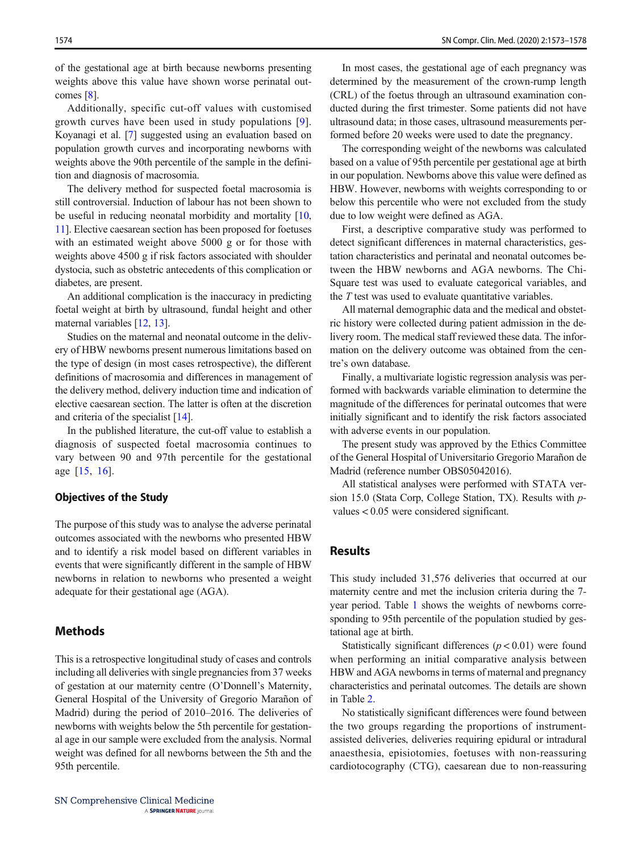of the gestational age at birth because newborns presenting weights above this value have shown worse perinatal outcomes [[8\]](#page-4-0).

Additionally, specific cut-off values with customised growth curves have been used in study populations [[9](#page-4-0)]. Koyanagi et al. [[7\]](#page-4-0) suggested using an evaluation based on population growth curves and incorporating newborns with weights above the 90th percentile of the sample in the definition and diagnosis of macrosomia.

The delivery method for suspected foetal macrosomia is still controversial. Induction of labour has not been shown to be useful in reducing neonatal morbidity and mortality [[10,](#page-4-0) [11\]](#page-4-0). Elective caesarean section has been proposed for foetuses with an estimated weight above 5000 g or for those with weights above 4500 g if risk factors associated with shoulder dystocia, such as obstetric antecedents of this complication or diabetes, are present.

An additional complication is the inaccuracy in predicting foetal weight at birth by ultrasound, fundal height and other maternal variables [[12,](#page-4-0) [13](#page-4-0)].

Studies on the maternal and neonatal outcome in the delivery of HBW newborns present numerous limitations based on the type of design (in most cases retrospective), the different definitions of macrosomia and differences in management of the delivery method, delivery induction time and indication of elective caesarean section. The latter is often at the discretion and criteria of the specialist [[14\]](#page-4-0).

In the published literature, the cut-off value to establish a diagnosis of suspected foetal macrosomia continues to vary between 90 and 97th percentile for the gestational age [[15](#page-4-0), [16](#page-4-0)].

#### Objectives of the Study

The purpose of this study was to analyse the adverse perinatal outcomes associated with the newborns who presented HBW and to identify a risk model based on different variables in events that were significantly different in the sample of HBW newborns in relation to newborns who presented a weight adequate for their gestational age (AGA).

# **Methods**

This is a retrospective longitudinal study of cases and controls including all deliveries with single pregnancies from 37 weeks of gestation at our maternity centre (O'Donnell's Maternity, General Hospital of the University of Gregorio Marañon of Madrid) during the period of 2010–2016. The deliveries of newborns with weights below the 5th percentile for gestational age in our sample were excluded from the analysis. Normal weight was defined for all newborns between the 5th and the 95th percentile.

In most cases, the gestational age of each pregnancy was determined by the measurement of the crown-rump length (CRL) of the foetus through an ultrasound examination conducted during the first trimester. Some patients did not have ultrasound data; in those cases, ultrasound measurements performed before 20 weeks were used to date the pregnancy.

The corresponding weight of the newborns was calculated based on a value of 95th percentile per gestational age at birth in our population. Newborns above this value were defined as HBW. However, newborns with weights corresponding to or below this percentile who were not excluded from the study due to low weight were defined as AGA.

First, a descriptive comparative study was performed to detect significant differences in maternal characteristics, gestation characteristics and perinatal and neonatal outcomes between the HBW newborns and AGA newborns. The Chi-Square test was used to evaluate categorical variables, and the T test was used to evaluate quantitative variables.

All maternal demographic data and the medical and obstetric history were collected during patient admission in the delivery room. The medical staff reviewed these data. The information on the delivery outcome was obtained from the centre's own database.

Finally, a multivariate logistic regression analysis was performed with backwards variable elimination to determine the magnitude of the differences for perinatal outcomes that were initially significant and to identify the risk factors associated with adverse events in our population.

The present study was approved by the Ethics Committee of the General Hospital of Universitario Gregorio Marañon de Madrid (reference number OBS05042016).

All statistical analyses were performed with STATA version 15.0 (Stata Corp, College Station, TX). Results with pvalues < 0.05 were considered significant.

# Results

This study included 31,576 deliveries that occurred at our maternity centre and met the inclusion criteria during the 7 year period. Table [1](#page-2-0) shows the weights of newborns corresponding to 95th percentile of the population studied by gestational age at birth.

Statistically significant differences  $(p < 0.01)$  were found when performing an initial comparative analysis between HBW and AGA newborns in terms of maternal and pregnancy characteristics and perinatal outcomes. The details are shown in Table [2.](#page-2-0)

No statistically significant differences were found between the two groups regarding the proportions of instrumentassisted deliveries, deliveries requiring epidural or intradural anaesthesia, episiotomies, foetuses with non-reassuring cardiotocography (CTG), caesarean due to non-reassuring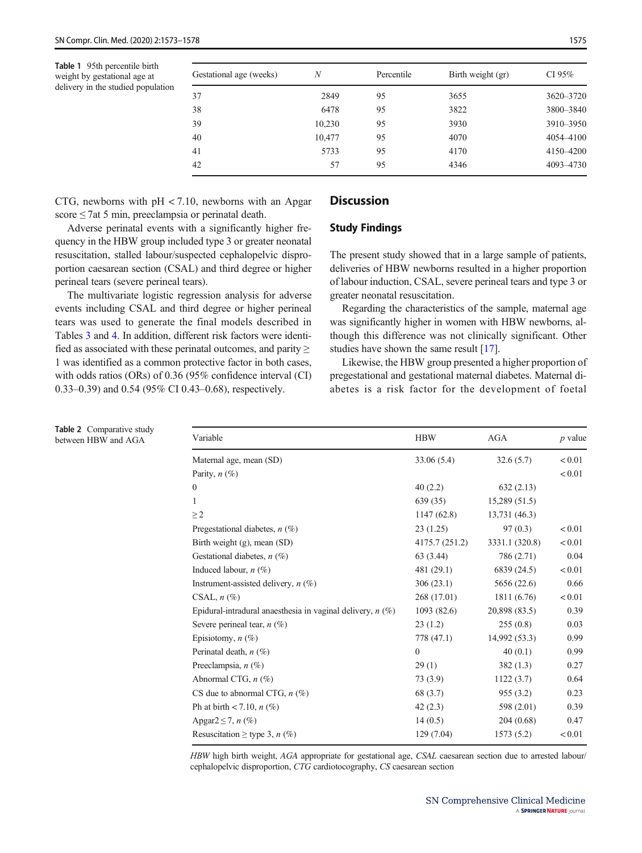<span id="page-2-0"></span>Table 1 95th percentile birth weight by gestational age at delivery in the studied population

Table 2 Comparative study between HBW and AGA

| Gestational age (weeks) | N      | Percentile | Birth weight (gr) | CI 95%    |
|-------------------------|--------|------------|-------------------|-----------|
| 37                      | 2849   | 95         | 3655              | 3620-3720 |
| 38                      | 6478   | 95         | 3822              | 3800-3840 |
| 39                      | 10,230 | 95         | 3930              | 3910-3950 |
| 40                      | 10,477 | 95         | 4070              | 4054 4100 |
| 41                      | 5733   | 95         | 4170              | 4150-4200 |
| 42                      | 57     | 95         | 4346              | 4093-4730 |

CTG, newborns with  $pH < 7.10$ , newborns with an Apgar score  $\leq$  7at 5 min, preeclampsia or perinatal death.

Adverse perinatal events with a significantly higher frequency in the HBW group included type 3 or greater neonatal resuscitation, stalled labour/suspected cephalopelvic disproportion caesarean section (CSAL) and third degree or higher perineal tears (severe perineal tears).

The multivariate logistic regression analysis for adverse events including CSAL and third degree or higher perineal tears was used to generate the final models described in Tables [3](#page-3-0) and [4.](#page-3-0) In addition, different risk factors were identified as associated with these perinatal outcomes, and parity  $\geq$ 1 was identified as a common protective factor in both cases, with odds ratios (ORs) of 0.36 (95% confidence interval (CI) 0.33–0.39) and 0.54 (95% CI 0.43–0.68), respectively.

# **Discussion**

#### Study Findings

The present study showed that in a large sample of patients, deliveries of HBW newborns resulted in a higher proportion of labour induction, CSAL, severe perineal tears and type 3 or greater neonatal resuscitation.

Regarding the characteristics of the sample, maternal age was significantly higher in women with HBW newborns, although this difference was not clinically significant. Other studies have shown the same result [[17\]](#page-4-0).

Likewise, the HBW group presented a higher proportion of pregestational and gestational maternal diabetes. Maternal diabetes is a risk factor for the development of foetal

| Variable                                                     | <b>HBW</b>     | <b>AGA</b>     | $p$ value |
|--------------------------------------------------------------|----------------|----------------|-----------|
| Maternal age, mean (SD)                                      | 33.06 (5.4)    | 32.6(5.7)      | < 0.01    |
| Parity, $n$ (%)                                              |                |                | < 0.01    |
| $\mathbf{0}$                                                 | 40(2.2)        | 632(2.13)      |           |
| 1                                                            | 639(35)        | 15,289 (51.5)  |           |
| $\geq$ 2                                                     | 1147 (62.8)    | 13,731 (46.3)  |           |
| Pregestational diabetes, $n$ (%)                             | 23(1.25)       | 97(0.3)        | < 0.01    |
| Birth weight $(g)$ , mean $(SD)$                             | 4175.7 (251.2) | 3331.1 (320.8) | < 0.01    |
| Gestational diabetes, $n$ (%)                                | 63 (3.44)      | 786 (2.71)     | 0.04      |
| Induced labour, $n$ (%)                                      | 481 (29.1)     | 6839 (24.5)    | < 0.01    |
| Instrument-assisted delivery, $n$ (%)                        | 306(23.1)      | 5656 (22.6)    | 0.66      |
| CSAL, $n$ $(\%)$                                             | 268 (17.01)    | 1811 (6.76)    | < 0.01    |
| Epidural-intradural anaesthesia in vaginal delivery, $n$ (%) | 1093(82.6)     | 20,898 (83.5)  | 0.39      |
| Severe perineal tear, $n$ (%)                                | 23(1.2)        | 255(0.8)       | 0.03      |
| Episiotomy, $n$ (%)                                          | 778 (47.1)     | 14,992 (53.3)  | 0.99      |
| Perinatal death, $n$ (%)                                     | $\Omega$       | 40(0.1)        | 0.99      |
| Preeclampsia, $n$ (%)                                        | 29(1)          | 382(1.3)       | 0.27      |
| Abnormal CTG, $n$ (%)                                        | 73 (3.9)       | 1122(3.7)      | 0.64      |
| CS due to abnormal CTG, $n$ (%)                              | 68 (3.7)       | 955(3.2)       | 0.23      |
| Ph at birth $< 7.10$ , $n$ (%)                               | 42(2.3)        | 598 (2.01)     | 0.39      |
| Apgar $2 \leq 7$ , n $(\%)$                                  | 14(0.5)        | 204 (0.68)     | 0.47      |
| Resuscitation $\geq$ type 3, <i>n</i> (%)                    | 129 (7.04)     | 1573(5.2)      | < 0.01    |

HBW high birth weight, AGA appropriate for gestational age, CSAL caesarean section due to arrested labour/ cephalopelvic disproportion, CTG cardiotocography, CS caesarean section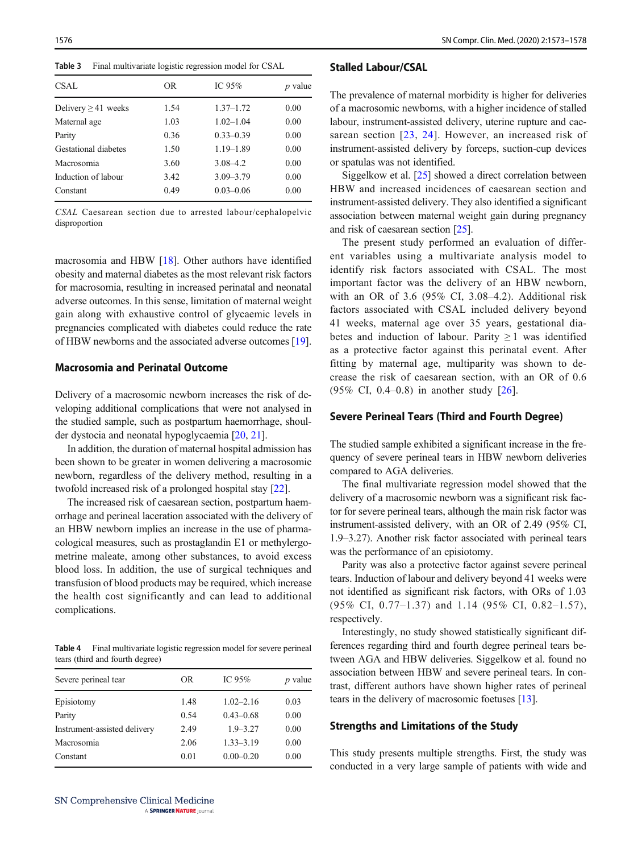<span id="page-3-0"></span>Table 3 Final multivariate logistic regression model for CSAL

| CSAL                     | OR   | IC $95%$      | $p$ value |
|--------------------------|------|---------------|-----------|
| Delivery $\geq$ 41 weeks | 1.54 | $1.37 - 1.72$ | 0.00      |
| Maternal age             | 1.03 | $1.02 - 1.04$ | 0.00      |
| Parity                   | 0.36 | $0.33 - 0.39$ | 0.00      |
| Gestational diabetes     | 1.50 | $1.19 - 1.89$ | 0.00      |
| Macrosomia               | 3.60 | $3.08 - 4.2$  | 0.00      |
| Induction of labour      | 3.42 | $3.09 - 3.79$ | 0.00      |
| Constant                 | 0.49 | $0.03 - 0.06$ | 0.00      |

CSAL Caesarean section due to arrested labour/cephalopelvic disproportion

macrosomia and HBW [[18\]](#page-4-0). Other authors have identified obesity and maternal diabetes as the most relevant risk factors for macrosomia, resulting in increased perinatal and neonatal adverse outcomes. In this sense, limitation of maternal weight gain along with exhaustive control of glycaemic levels in pregnancies complicated with diabetes could reduce the rate of HBW newborns and the associated adverse outcomes [[19\]](#page-4-0).

### Macrosomia and Perinatal Outcome

Delivery of a macrosomic newborn increases the risk of developing additional complications that were not analysed in the studied sample, such as postpartum haemorrhage, shoulder dystocia and neonatal hypoglycaemia [\[20,](#page-4-0) [21\]](#page-4-0).

In addition, the duration of maternal hospital admission has been shown to be greater in women delivering a macrosomic newborn, regardless of the delivery method, resulting in a twofold increased risk of a prolonged hospital stay [\[22\]](#page-5-0).

The increased risk of caesarean section, postpartum haemorrhage and perineal laceration associated with the delivery of an HBW newborn implies an increase in the use of pharmacological measures, such as prostaglandin E1 or methylergometrine maleate, among other substances, to avoid excess blood loss. In addition, the use of surgical techniques and transfusion of blood products may be required, which increase the health cost significantly and can lead to additional complications.

Table 4 Final multivariate logistic regression model for severe perineal tears (third and fourth degree)

| Severe perineal tear         | OR.  | IC 95\%       | $p$ value |
|------------------------------|------|---------------|-----------|
| Episiotomy                   | 1.48 | $1.02 - 2.16$ | 0.03      |
| Parity                       | 0.54 | $0.43 - 0.68$ | 0.00      |
| Instrument-assisted delivery | 2.49 | $1.9 - 3.27$  | 0.00      |
| Macrosomia                   | 2.06 | $1.33 - 3.19$ | 0.00      |
| Constant                     | 0.01 | $0.00 - 0.20$ | 0.00      |

#### Stalled Labour/CSAL

The prevalence of maternal morbidity is higher for deliveries of a macrosomic newborns, with a higher incidence of stalled labour, instrument-assisted delivery, uterine rupture and caesarean section [[23](#page-5-0), [24\]](#page-5-0). However, an increased risk of instrument-assisted delivery by forceps, suction-cup devices or spatulas was not identified.

Siggelkow et al. [\[25\]](#page-5-0) showed a direct correlation between HBW and increased incidences of caesarean section and instrument-assisted delivery. They also identified a significant association between maternal weight gain during pregnancy and risk of caesarean section [[25\]](#page-5-0).

The present study performed an evaluation of different variables using a multivariate analysis model to identify risk factors associated with CSAL. The most important factor was the delivery of an HBW newborn, with an OR of 3.6 (95% CI, 3.08–4.2). Additional risk factors associated with CSAL included delivery beyond 41 weeks, maternal age over 35 years, gestational diabetes and induction of labour. Parity  $\geq 1$  was identified as a protective factor against this perinatal event. After fitting by maternal age, multiparity was shown to decrease the risk of caesarean section, with an OR of 0.6 (95% CI, 0.4–0.8) in another study [[26](#page-5-0)].

#### Severe Perineal Tears (Third and Fourth Degree)

The studied sample exhibited a significant increase in the frequency of severe perineal tears in HBW newborn deliveries compared to AGA deliveries.

The final multivariate regression model showed that the delivery of a macrosomic newborn was a significant risk factor for severe perineal tears, although the main risk factor was instrument-assisted delivery, with an OR of 2.49 (95% CI, 1.9–3.27). Another risk factor associated with perineal tears was the performance of an episiotomy.

Parity was also a protective factor against severe perineal tears. Induction of labour and delivery beyond 41 weeks were not identified as significant risk factors, with ORs of 1.03 (95% CI, 0.77–1.37) and 1.14 (95% CI, 0.82–1.57), respectively.

Interestingly, no study showed statistically significant differences regarding third and fourth degree perineal tears between AGA and HBW deliveries. Siggelkow et al. found no association between HBW and severe perineal tears. In contrast, different authors have shown higher rates of perineal tears in the delivery of macrosomic foetuses [[13\]](#page-4-0).

#### Strengths and Limitations of the Study

This study presents multiple strengths. First, the study was conducted in a very large sample of patients with wide and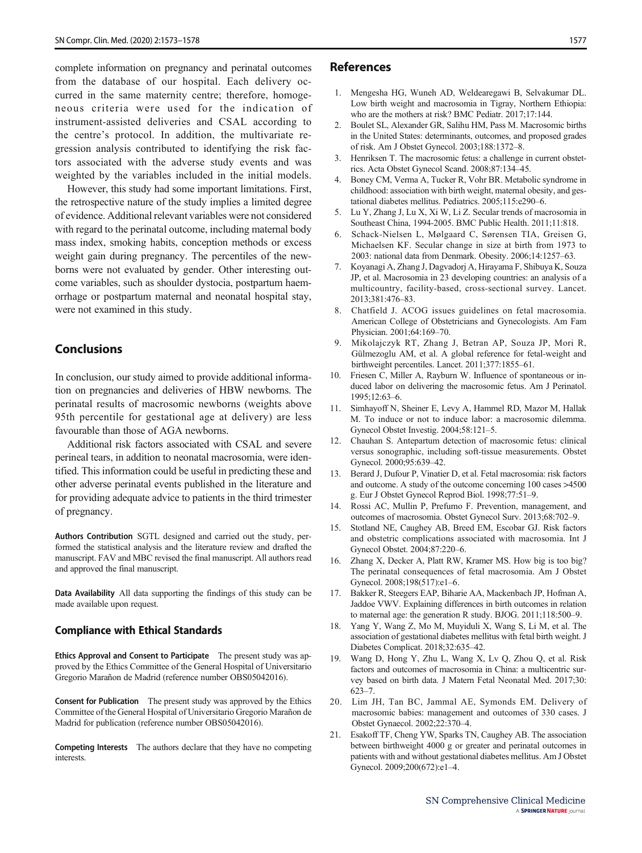<span id="page-4-0"></span>complete information on pregnancy and perinatal outcomes from the database of our hospital. Each delivery occurred in the same maternity centre; therefore, homogeneous criteria were used for the indication of instrument-assisted deliveries and CSAL according to the centre's protocol. In addition, the multivariate regression analysis contributed to identifying the risk factors associated with the adverse study events and was weighted by the variables included in the initial models.

However, this study had some important limitations. First, the retrospective nature of the study implies a limited degree of evidence. Additional relevant variables were not considered with regard to the perinatal outcome, including maternal body mass index, smoking habits, conception methods or excess weight gain during pregnancy. The percentiles of the newborns were not evaluated by gender. Other interesting outcome variables, such as shoulder dystocia, postpartum haemorrhage or postpartum maternal and neonatal hospital stay, were not examined in this study.

# **Conclusions**

In conclusion, our study aimed to provide additional information on pregnancies and deliveries of HBW newborns. The perinatal results of macrosomic newborns (weights above 95th percentile for gestational age at delivery) are less favourable than those of AGA newborns.

Additional risk factors associated with CSAL and severe perineal tears, in addition to neonatal macrosomia, were identified. This information could be useful in predicting these and other adverse perinatal events published in the literature and for providing adequate advice to patients in the third trimester of pregnancy.

Authors Contribution SGTL designed and carried out the study, performed the statistical analysis and the literature review and drafted the manuscript. FAV and MBC revised the final manuscript. All authors read and approved the final manuscript.

Data Availability All data supporting the findings of this study can be made available upon request.

#### Compliance with Ethical Standards

Ethics Approval and Consent to Participate The present study was approved by the Ethics Committee of the General Hospital of Universitario Gregorio Marañon de Madrid (reference number OBS05042016).

Consent for Publication The present study was approved by the Ethics Committee of the General Hospital of Universitario Gregorio Marañon de Madrid for publication (reference number OBS05042016).

Competing Interests The authors declare that they have no competing interests.

#### References

- 1. Mengesha HG, Wuneh AD, Weldearegawi B, Selvakumar DL. Low birth weight and macrosomia in Tigray, Northern Ethiopia: who are the mothers at risk? BMC Pediatr. 2017;17:144.
- 2. Boulet SL, Alexander GR, Salihu HM, Pass M. Macrosomic births in the United States: determinants, outcomes, and proposed grades of risk. Am J Obstet Gynecol. 2003;188:1372–8.
- 3. Henriksen T. The macrosomic fetus: a challenge in current obstetrics. Acta Obstet Gynecol Scand. 2008;87:134–45.
- 4. Boney CM, Verma A, Tucker R, Vohr BR. Metabolic syndrome in childhood: association with birth weight, maternal obesity, and gestational diabetes mellitus. Pediatrics. 2005;115:e290–6.
- 5. Lu Y, Zhang J, Lu X, Xi W, Li Z. Secular trends of macrosomia in Southeast China, 1994-2005. BMC Public Health. 2011;11:818.
- 6. Schack-Nielsen L, Mølgaard C, Sørensen TIA, Greisen G, Michaelsen KF. Secular change in size at birth from 1973 to 2003: national data from Denmark. Obesity. 2006;14:1257–63.
- 7. Koyanagi A, Zhang J, Dagvadorj A, Hirayama F, Shibuya K, Souza JP, et al. Macrosomia in 23 developing countries: an analysis of a multicountry, facility-based, cross-sectional survey. Lancet. 2013;381:476–83.
- 8. Chatfield J. ACOG issues guidelines on fetal macrosomia. American College of Obstetricians and Gynecologists. Am Fam Physician. 2001;64:169–70.
- 9. Mikolajczyk RT, Zhang J, Betran AP, Souza JP, Mori R, Gülmezoglu AM, et al. A global reference for fetal-weight and birthweight percentiles. Lancet. 2011;377:1855–61.
- 10. Friesen C, Miller A, Rayburn W. Influence of spontaneous or induced labor on delivering the macrosomic fetus. Am J Perinatol. 1995;12:63–6.
- 11. Simhayoff N, Sheiner E, Levy A, Hammel RD, Mazor M, Hallak M. To induce or not to induce labor: a macrosomic dilemma. Gynecol Obstet Investig. 2004;58:121–5.
- 12. Chauhan S. Antepartum detection of macrosomic fetus: clinical versus sonographic, including soft-tissue measurements. Obstet Gynecol. 2000;95:639–42.
- 13. Berard J, Dufour P, Vinatier D, et al. Fetal macrosomia: risk factors and outcome. A study of the outcome concerning 100 cases >4500 g. Eur J Obstet Gynecol Reprod Biol. 1998;77:51–9.
- 14. Rossi AC, Mullin P, Prefumo F. Prevention, management, and outcomes of macrosomia. Obstet Gynecol Surv. 2013;68:702–9.
- 15. Stotland NE, Caughey AB, Breed EM, Escobar GJ. Risk factors and obstetric complications associated with macrosomia. Int J Gynecol Obstet. 2004;87:220–6.
- 16. Zhang X, Decker A, Platt RW, Kramer MS. How big is too big? The perinatal consequences of fetal macrosomia. Am J Obstet Gynecol. 2008;198(517):e1–6.
- 17. Bakker R, Steegers EAP, Biharie AA, Mackenbach JP, Hofman A, Jaddoe VWV. Explaining differences in birth outcomes in relation to maternal age: the generation R study. BJOG. 2011;118:500–9.
- 18. Yang Y, Wang Z, Mo M, Muyiduli X, Wang S, Li M, et al. The association of gestational diabetes mellitus with fetal birth weight. J Diabetes Complicat. 2018;32:635–42.
- 19. Wang D, Hong Y, Zhu L, Wang X, Lv Q, Zhou Q, et al. Risk factors and outcomes of macrosomia in China: a multicentric survey based on birth data. J Matern Fetal Neonatal Med. 2017;30: 623–7.
- 20. Lim JH, Tan BC, Jammal AE, Symonds EM. Delivery of macrosomic babies: management and outcomes of 330 cases. J Obstet Gynaecol. 2002;22:370–4.
- 21. Esakoff TF, Cheng YW, Sparks TN, Caughey AB. The association between birthweight 4000 g or greater and perinatal outcomes in patients with and without gestational diabetes mellitus. Am J Obstet Gynecol. 2009;200(672):e1–4.